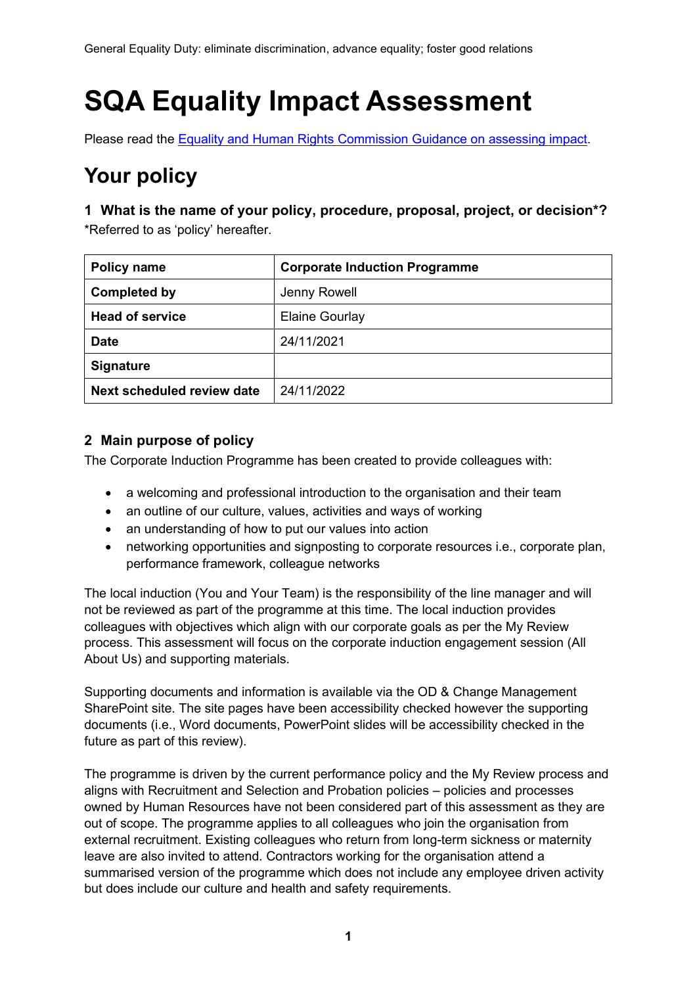# **SQA Equality Impact Assessment**

Please read the [Equality and Human Rights Commission Guidance on assessing impact.](https://www.equalityhumanrights.com/sites/default/files/assessing-impact-public-sectory-equality-duty-scotland.pdf)

# **Your policy**

**1 What is the name of your policy, procedure, proposal, project, or decision\*?** \*Referred to as 'policy' hereafter.

| <b>Policy name</b>         | <b>Corporate Induction Programme</b> |
|----------------------------|--------------------------------------|
| <b>Completed by</b>        | Jenny Rowell                         |
| <b>Head of service</b>     | Elaine Gourlay                       |
| <b>Date</b>                | 24/11/2021                           |
| <b>Signature</b>           |                                      |
| Next scheduled review date | 24/11/2022                           |

## **2 Main purpose of policy**

The Corporate Induction Programme has been created to provide colleagues with:

- a welcoming and professional introduction to the organisation and their team
- an outline of our culture, values, activities and ways of working
- an understanding of how to put our values into action
- networking opportunities and signposting to corporate resources i.e., corporate plan, performance framework, colleague networks

The local induction (You and Your Team) is the responsibility of the line manager and will not be reviewed as part of the programme at this time. The local induction provides colleagues with objectives which align with our corporate goals as per the My Review process. This assessment will focus on the corporate induction engagement session (All About Us) and supporting materials.

Supporting documents and information is available via the OD & Change Management SharePoint site. The site pages have been accessibility checked however the supporting documents (i.e., Word documents, PowerPoint slides will be accessibility checked in the future as part of this review).

The programme is driven by the current performance policy and the My Review process and aligns with Recruitment and Selection and Probation policies – policies and processes owned by Human Resources have not been considered part of this assessment as they are out of scope. The programme applies to all colleagues who join the organisation from external recruitment. Existing colleagues who return from long-term sickness or maternity leave are also invited to attend. Contractors working for the organisation attend a summarised version of the programme which does not include any employee driven activity but does include our culture and health and safety requirements.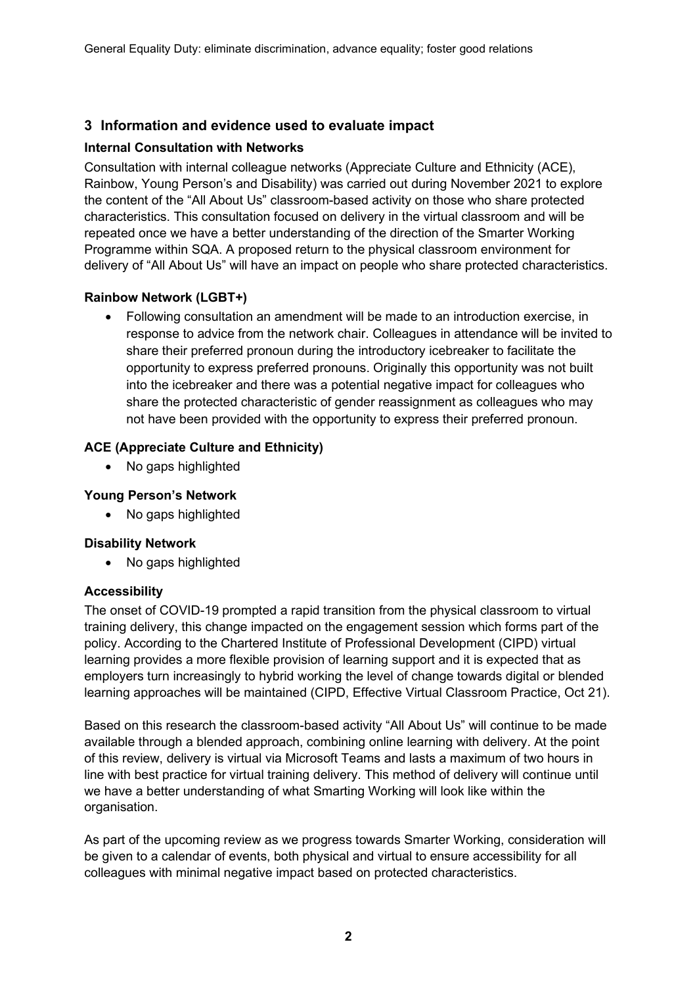#### **3 Information and evidence used to evaluate impact**

#### **Internal Consultation with Networks**

Consultation with internal colleague networks (Appreciate Culture and Ethnicity (ACE), Rainbow, Young Person's and Disability) was carried out during November 2021 to explore the content of the "All About Us" classroom-based activity on those who share protected characteristics. This consultation focused on delivery in the virtual classroom and will be repeated once we have a better understanding of the direction of the Smarter Working Programme within SQA. A proposed return to the physical classroom environment for delivery of "All About Us" will have an impact on people who share protected characteristics.

#### **Rainbow Network (LGBT+)**

• Following consultation an amendment will be made to an introduction exercise, in response to advice from the network chair. Colleagues in attendance will be invited to share their preferred pronoun during the introductory icebreaker to facilitate the opportunity to express preferred pronouns. Originally this opportunity was not built into the icebreaker and there was a potential negative impact for colleagues who share the protected characteristic of gender reassignment as colleagues who may not have been provided with the opportunity to express their preferred pronoun.

#### **ACE (Appreciate Culture and Ethnicity)**

• No gaps highlighted

#### **Young Person's Network**

• No gaps highlighted

#### **Disability Network**

• No gaps highlighted

#### **Accessibility**

The onset of COVID-19 prompted a rapid transition from the physical classroom to virtual training delivery, this change impacted on the engagement session which forms part of the policy. According to the Chartered Institute of Professional Development (CIPD) virtual learning provides a more flexible provision of learning support and it is expected that as employers turn increasingly to hybrid working the level of change towards digital or blended learning approaches will be maintained (CIPD, Effective Virtual Classroom Practice, Oct 21).

Based on this research the classroom-based activity "All About Us" will continue to be made available through a blended approach, combining online learning with delivery. At the point of this review, delivery is virtual via Microsoft Teams and lasts a maximum of two hours in line with best practice for virtual training delivery. This method of delivery will continue until we have a better understanding of what Smarting Working will look like within the organisation.

As part of the upcoming review as we progress towards Smarter Working, consideration will be given to a calendar of events, both physical and virtual to ensure accessibility for all colleagues with minimal negative impact based on protected characteristics.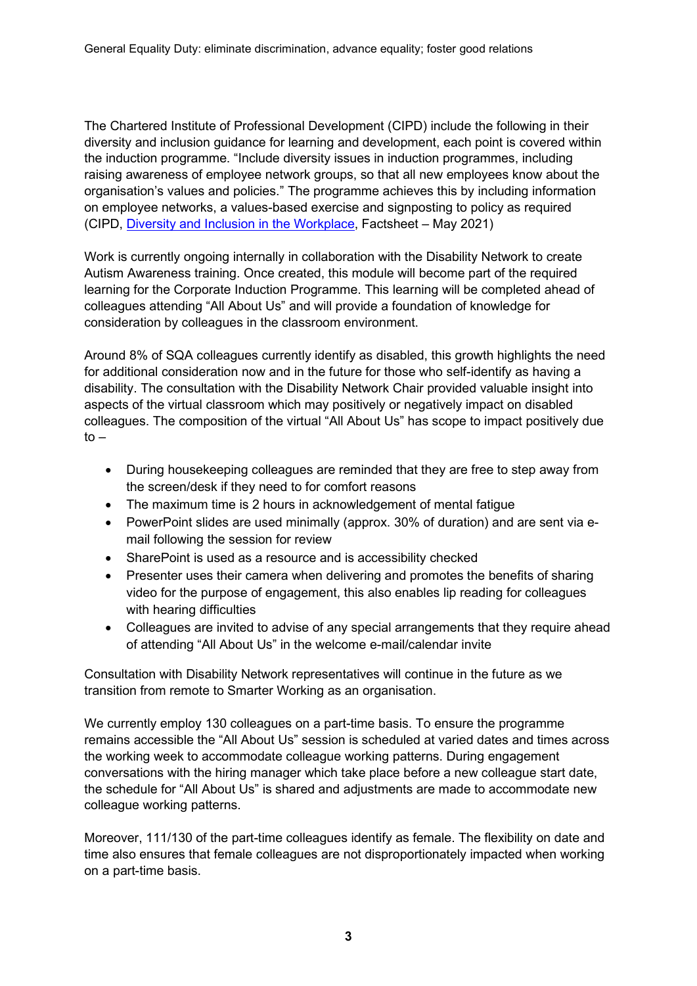The Chartered Institute of Professional Development (CIPD) include the following in their diversity and inclusion guidance for learning and development, each point is covered within the induction programme. "Include diversity issues in induction programmes, including raising awareness of employee network groups, so that all new employees know about the organisation's values and policies." The programme achieves this by including information on employee networks, a values-based exercise and signposting to policy as required (CIPD, [Diversity and Inclusion in the Workplace,](https://www.cipd.co.uk/knowledge/fundamentals/relations/diversity/factsheet#gref) Factsheet – May 2021)

Work is currently ongoing internally in collaboration with the Disability Network to create Autism Awareness training. Once created, this module will become part of the required learning for the Corporate Induction Programme. This learning will be completed ahead of colleagues attending "All About Us" and will provide a foundation of knowledge for consideration by colleagues in the classroom environment.

Around 8% of SQA colleagues currently identify as disabled, this growth highlights the need for additional consideration now and in the future for those who self-identify as having a disability. The consultation with the Disability Network Chair provided valuable insight into aspects of the virtual classroom which may positively or negatively impact on disabled colleagues. The composition of the virtual "All About Us" has scope to impact positively due  $to -$ 

- During housekeeping colleagues are reminded that they are free to step away from the screen/desk if they need to for comfort reasons
- The maximum time is 2 hours in acknowledgement of mental fatigue
- PowerPoint slides are used minimally (approx. 30% of duration) and are sent via email following the session for review
- SharePoint is used as a resource and is accessibility checked
- Presenter uses their camera when delivering and promotes the benefits of sharing video for the purpose of engagement, this also enables lip reading for colleagues with hearing difficulties
- Colleagues are invited to advise of any special arrangements that they require ahead of attending "All About Us" in the welcome e-mail/calendar invite

Consultation with Disability Network representatives will continue in the future as we transition from remote to Smarter Working as an organisation.

We currently employ 130 colleagues on a part-time basis. To ensure the programme remains accessible the "All About Us" session is scheduled at varied dates and times across the working week to accommodate colleague working patterns. During engagement conversations with the hiring manager which take place before a new colleague start date, the schedule for "All About Us" is shared and adjustments are made to accommodate new colleague working patterns.

Moreover, 111/130 of the part-time colleagues identify as female. The flexibility on date and time also ensures that female colleagues are not disproportionately impacted when working on a part-time basis.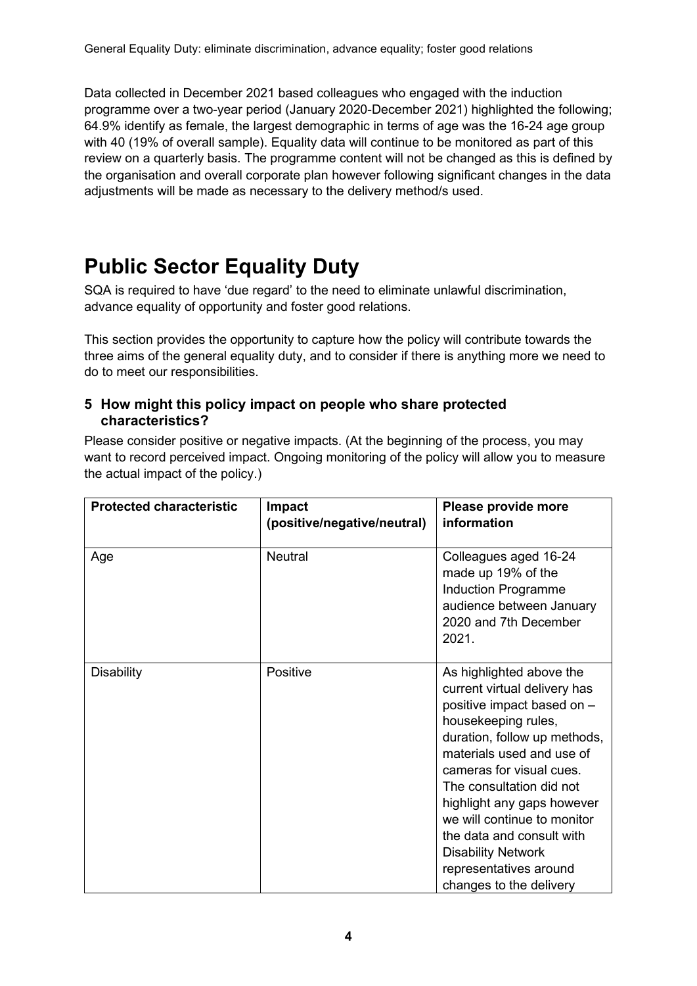Data collected in December 2021 based colleagues who engaged with the induction programme over a two-year period (January 2020-December 2021) highlighted the following; 64.9% identify as female, the largest demographic in terms of age was the 16-24 age group with 40 (19% of overall sample). Equality data will continue to be monitored as part of this review on a quarterly basis. The programme content will not be changed as this is defined by the organisation and overall corporate plan however following significant changes in the data adjustments will be made as necessary to the delivery method/s used.

# **Public Sector Equality Duty**

SQA is required to have 'due regard' to the need to eliminate unlawful discrimination, advance equality of opportunity and foster good relations.

This section provides the opportunity to capture how the policy will contribute towards the three aims of the general equality duty, and to consider if there is anything more we need to do to meet our responsibilities.

### **5 How might this policy impact on people who share protected characteristics?**

Please consider positive or negative impacts. (At the beginning of the process, you may want to record perceived impact. Ongoing monitoring of the policy will allow you to measure the actual impact of the policy.)

| <b>Protected characteristic</b> | Impact<br>(positive/negative/neutral) | Please provide more<br>information                                                                                                                                                                                                                                                                                                                                                                             |  |
|---------------------------------|---------------------------------------|----------------------------------------------------------------------------------------------------------------------------------------------------------------------------------------------------------------------------------------------------------------------------------------------------------------------------------------------------------------------------------------------------------------|--|
| Age                             | <b>Neutral</b>                        | Colleagues aged 16-24<br>made up 19% of the<br>Induction Programme<br>audience between January<br>2020 and 7th December<br>2021.                                                                                                                                                                                                                                                                               |  |
| <b>Disability</b>               | Positive                              | As highlighted above the<br>current virtual delivery has<br>positive impact based on -<br>housekeeping rules,<br>duration, follow up methods,<br>materials used and use of<br>cameras for visual cues.<br>The consultation did not<br>highlight any gaps however<br>we will continue to monitor<br>the data and consult with<br><b>Disability Network</b><br>representatives around<br>changes to the delivery |  |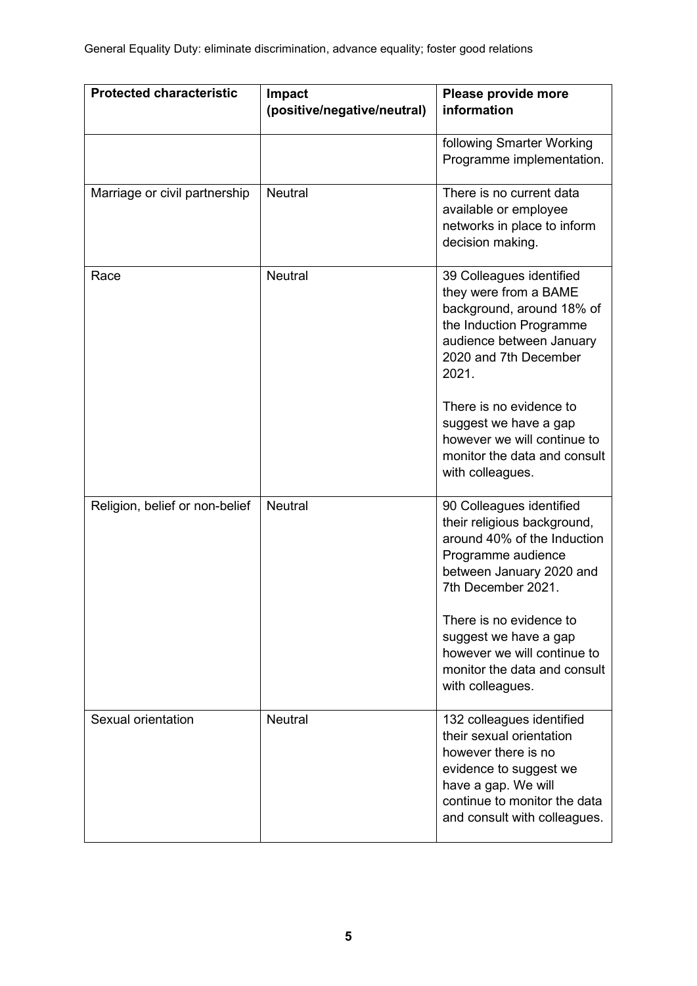| <b>Protected characteristic</b><br>Impact<br>(positive/negative/neutral) |                | Please provide more<br>information                                                                                                                                                                                                                                                                             |  |  |
|--------------------------------------------------------------------------|----------------|----------------------------------------------------------------------------------------------------------------------------------------------------------------------------------------------------------------------------------------------------------------------------------------------------------------|--|--|
|                                                                          |                | following Smarter Working<br>Programme implementation.                                                                                                                                                                                                                                                         |  |  |
| Marriage or civil partnership                                            | <b>Neutral</b> | There is no current data<br>available or employee<br>networks in place to inform<br>decision making.                                                                                                                                                                                                           |  |  |
| Race                                                                     | <b>Neutral</b> | 39 Colleagues identified<br>they were from a BAME<br>background, around 18% of<br>the Induction Programme<br>audience between January<br>2020 and 7th December<br>2021.<br>There is no evidence to<br>suggest we have a gap<br>however we will continue to<br>monitor the data and consult<br>with colleagues. |  |  |
| Religion, belief or non-belief                                           | <b>Neutral</b> | 90 Colleagues identified<br>their religious background,<br>around 40% of the Induction<br>Programme audience<br>between January 2020 and<br>7th December 2021.<br>There is no evidence to<br>suggest we have a gap<br>however we will continue to<br>monitor the data and consult<br>with colleagues.          |  |  |
| Sexual orientation                                                       | <b>Neutral</b> | 132 colleagues identified<br>their sexual orientation<br>however there is no<br>evidence to suggest we<br>have a gap. We will<br>continue to monitor the data<br>and consult with colleagues.                                                                                                                  |  |  |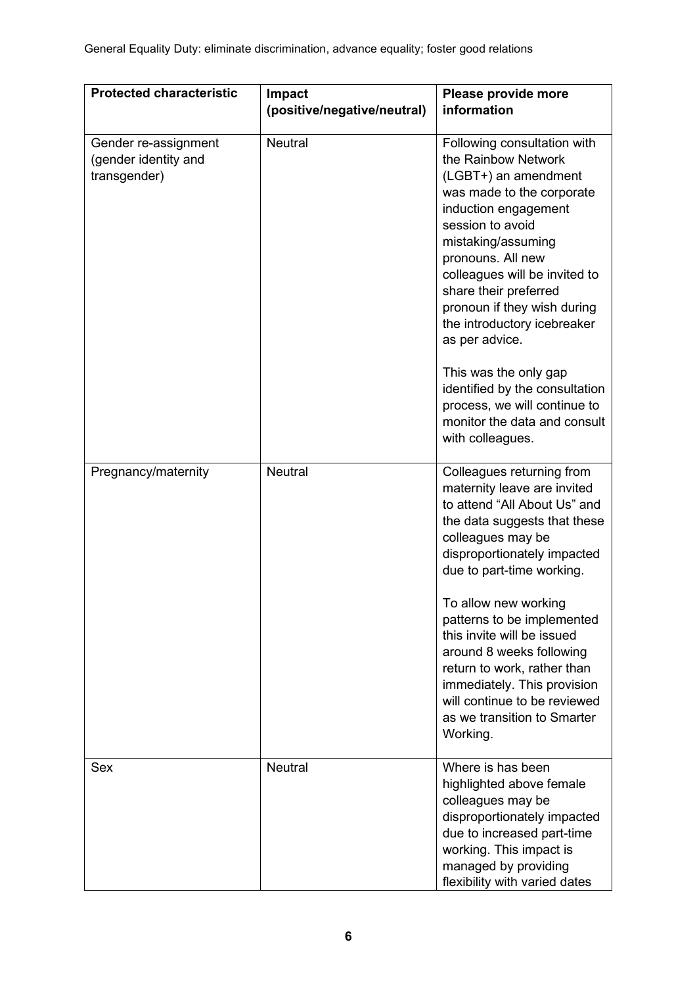| <b>Protected characteristic</b>                              | <b>Impact</b><br>(positive/negative/neutral) | Please provide more<br>information                                                                                                                                                                                                                                                                                                                                                                                                                                                      |  |
|--------------------------------------------------------------|----------------------------------------------|-----------------------------------------------------------------------------------------------------------------------------------------------------------------------------------------------------------------------------------------------------------------------------------------------------------------------------------------------------------------------------------------------------------------------------------------------------------------------------------------|--|
|                                                              |                                              |                                                                                                                                                                                                                                                                                                                                                                                                                                                                                         |  |
| Gender re-assignment<br>(gender identity and<br>transgender) | <b>Neutral</b>                               | Following consultation with<br>the Rainbow Network<br>(LGBT+) an amendment<br>was made to the corporate<br>induction engagement<br>session to avoid<br>mistaking/assuming<br>pronouns. All new<br>colleagues will be invited to<br>share their preferred<br>pronoun if they wish during<br>the introductory icebreaker<br>as per advice.<br>This was the only gap<br>identified by the consultation<br>process, we will continue to<br>monitor the data and consult<br>with colleagues. |  |
| Pregnancy/maternity                                          | <b>Neutral</b>                               | Colleagues returning from<br>maternity leave are invited<br>to attend "All About Us" and<br>the data suggests that these<br>colleagues may be<br>disproportionately impacted<br>due to part-time working.<br>To allow new working<br>patterns to be implemented<br>this invite will be issued<br>around 8 weeks following<br>return to work, rather than<br>immediately. This provision<br>will continue to be reviewed<br>as we transition to Smarter<br>Working.                      |  |
| Sex                                                          | <b>Neutral</b>                               | Where is has been<br>highlighted above female<br>colleagues may be<br>disproportionately impacted<br>due to increased part-time<br>working. This impact is<br>managed by providing<br>flexibility with varied dates                                                                                                                                                                                                                                                                     |  |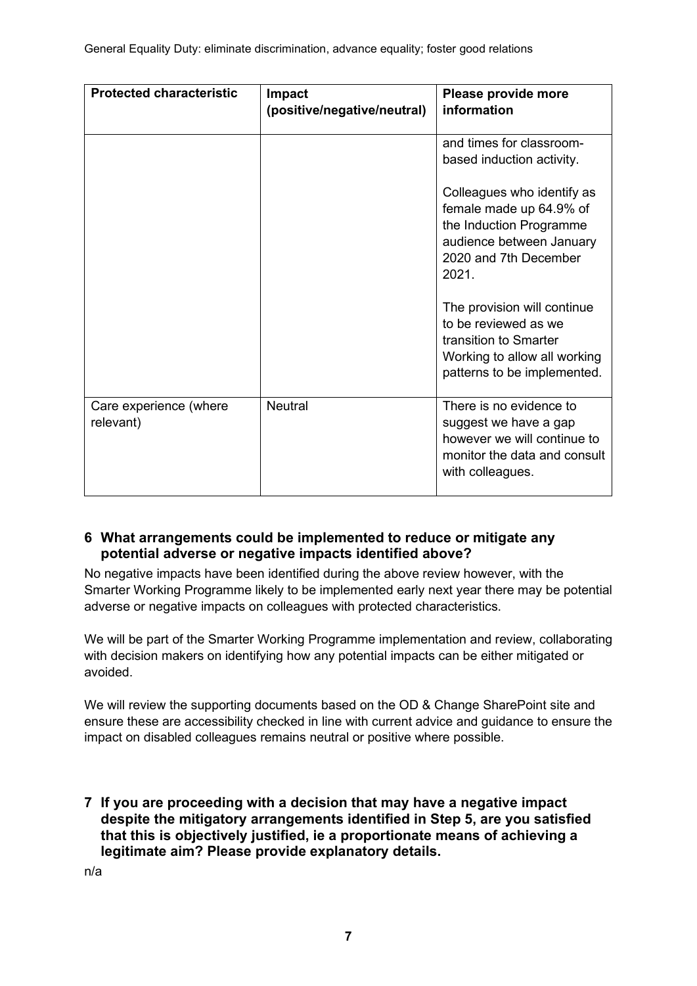| <b>Protected characteristic</b>     | Impact<br>(positive/negative/neutral) | Please provide more<br>information                                                                                                             |
|-------------------------------------|---------------------------------------|------------------------------------------------------------------------------------------------------------------------------------------------|
|                                     |                                       | and times for classroom-<br>based induction activity.                                                                                          |
|                                     |                                       | Colleagues who identify as<br>female made up 64.9% of<br>the Induction Programme<br>audience between January<br>2020 and 7th December<br>2021. |
|                                     |                                       | The provision will continue<br>to be reviewed as we<br>transition to Smarter<br>Working to allow all working<br>patterns to be implemented.    |
| Care experience (where<br>relevant) | <b>Neutral</b>                        | There is no evidence to<br>suggest we have a gap<br>however we will continue to<br>monitor the data and consult<br>with colleagues.            |

## **6 What arrangements could be implemented to reduce or mitigate any potential adverse or negative impacts identified above?**

No negative impacts have been identified during the above review however, with the Smarter Working Programme likely to be implemented early next year there may be potential adverse or negative impacts on colleagues with protected characteristics.

We will be part of the Smarter Working Programme implementation and review, collaborating with decision makers on identifying how any potential impacts can be either mitigated or avoided.

We will review the supporting documents based on the OD & Change SharePoint site and ensure these are accessibility checked in line with current advice and guidance to ensure the impact on disabled colleagues remains neutral or positive where possible.

**7 If you are proceeding with a decision that may have a negative impact despite the mitigatory arrangements identified in Step 5, are you satisfied that this is objectively justified, ie a proportionate means of achieving a legitimate aim? Please provide explanatory details.**

n/a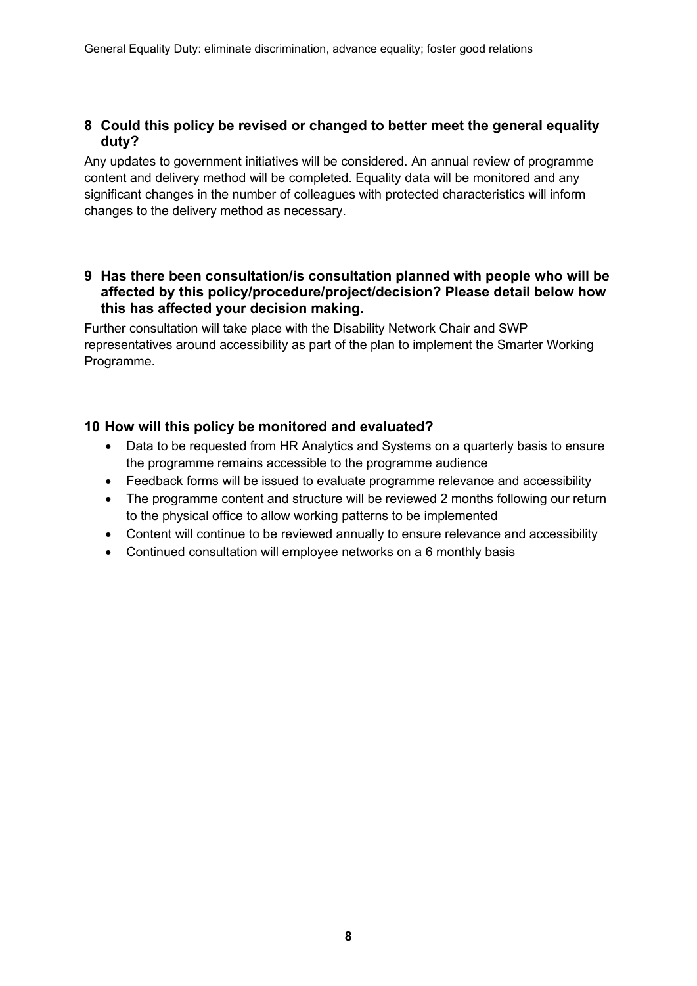#### **8 Could this policy be revised or changed to better meet the general equality duty?**

Any updates to government initiatives will be considered. An annual review of programme content and delivery method will be completed. Equality data will be monitored and any significant changes in the number of colleagues with protected characteristics will inform changes to the delivery method as necessary.

#### **9 Has there been consultation/is consultation planned with people who will be affected by this policy/procedure/project/decision? Please detail below how this has affected your decision making.**

Further consultation will take place with the Disability Network Chair and SWP representatives around accessibility as part of the plan to implement the Smarter Working Programme.

### **10 How will this policy be monitored and evaluated?**

- Data to be requested from HR Analytics and Systems on a quarterly basis to ensure the programme remains accessible to the programme audience
- Feedback forms will be issued to evaluate programme relevance and accessibility
- The programme content and structure will be reviewed 2 months following our return to the physical office to allow working patterns to be implemented
- Content will continue to be reviewed annually to ensure relevance and accessibility
- Continued consultation will employee networks on a 6 monthly basis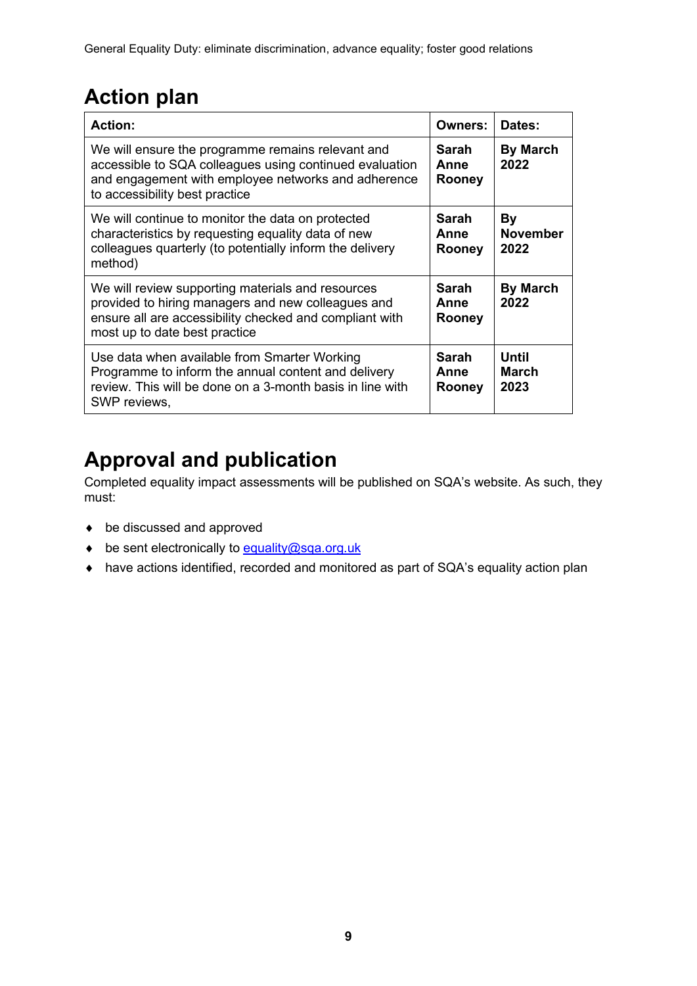# **Action plan**

| <b>Action:</b>                                                                                                                                                                                        | <b>Owners:</b>                        | Dates:                               |
|-------------------------------------------------------------------------------------------------------------------------------------------------------------------------------------------------------|---------------------------------------|--------------------------------------|
| We will ensure the programme remains relevant and<br>accessible to SQA colleagues using continued evaluation<br>and engagement with employee networks and adherence<br>to accessibility best practice | Sarah<br>Anne<br>Rooney               | <b>By March</b><br>2022              |
| We will continue to monitor the data on protected<br>characteristics by requesting equality data of new<br>colleagues quarterly (to potentially inform the delivery<br>method)                        | Sarah<br>Anne<br><b>Rooney</b>        | By<br><b>November</b><br>2022        |
| We will review supporting materials and resources<br>provided to hiring managers and new colleagues and<br>ensure all are accessibility checked and compliant with<br>most up to date best practice   | Sarah<br>Anne<br><b>Rooney</b>        | <b>By March</b><br>2022              |
| Use data when available from Smarter Working<br>Programme to inform the annual content and delivery<br>review. This will be done on a 3-month basis in line with<br>SWP reviews,                      | <b>Sarah</b><br>Anne<br><b>Rooney</b> | <b>Until</b><br><b>March</b><br>2023 |

# **Approval and publication**

Completed equality impact assessments will be published on SQA's website. As such, they must:

- ♦ be discussed and approved
- ♦ be sent electronically to [equality@sqa.org.uk](mailto:equality@sqa.org.uk)
- ♦ have actions identified, recorded and monitored as part of SQA's equality action plan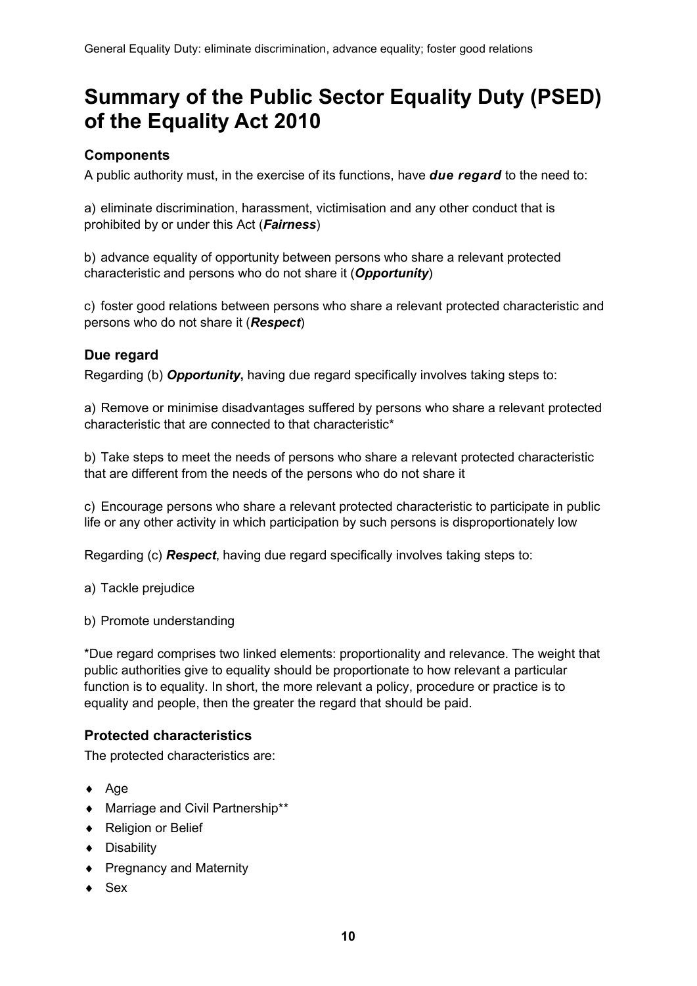# **Summary of the Public Sector Equality Duty (PSED) of the Equality Act 2010**

# **Components**

A public authority must, in the exercise of its functions, have *due regard* to the need to:

a) eliminate discrimination, harassment, victimisation and any other conduct that is prohibited by or under this Act (*Fairness*)

b) advance equality of opportunity between persons who share a relevant protected characteristic and persons who do not share it (*Opportunity*)

c) foster good relations between persons who share a relevant protected characteristic and persons who do not share it (*Respect*)

### **Due regard**

Regarding (b) *Opportunity***,** having due regard specifically involves taking steps to:

a) Remove or minimise disadvantages suffered by persons who share a relevant protected characteristic that are connected to that characteristic\*

b) Take steps to meet the needs of persons who share a relevant protected characteristic that are different from the needs of the persons who do not share it

c) Encourage persons who share a relevant protected characteristic to participate in public life or any other activity in which participation by such persons is disproportionately low

Regarding (c) *Respect*, having due regard specifically involves taking steps to:

a) Tackle prejudice

b) Promote understanding

\*Due regard comprises two linked elements: proportionality and relevance. The weight that public authorities give to equality should be proportionate to how relevant a particular function is to equality. In short, the more relevant a policy, procedure or practice is to equality and people, then the greater the regard that should be paid.

## **Protected characteristics**

The protected characteristics are:

- ♦ Age
- ♦ Marriage and Civil Partnership\*\*
- ♦ Religion or Belief
- ♦ Disability
- ♦ Pregnancy and Maternity
- $\bullet$  Sex